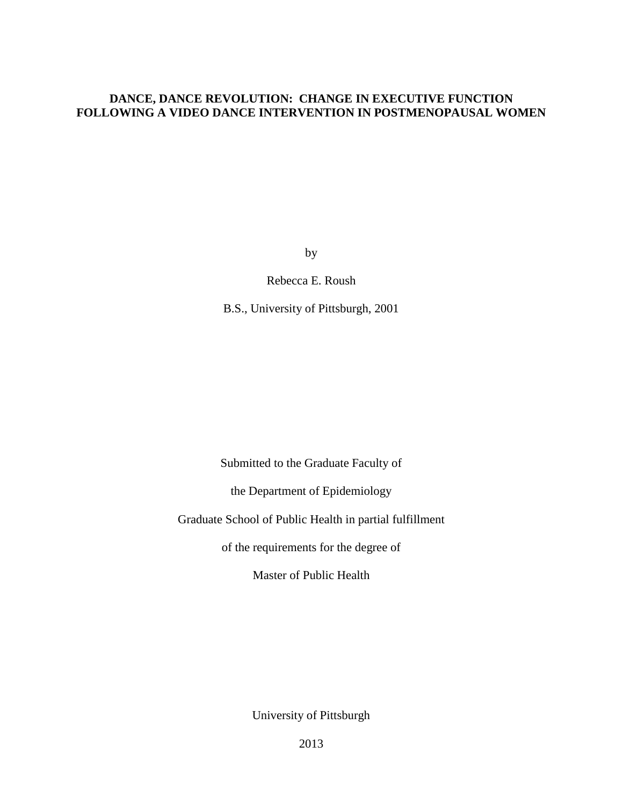## **DANCE, DANCE REVOLUTION: CHANGE IN EXECUTIVE FUNCTION FOLLOWING A VIDEO DANCE INTERVENTION IN POSTMENOPAUSAL WOMEN**

by

Rebecca E. Roush

B.S., University of Pittsburgh, 2001

Submitted to the Graduate Faculty of

the Department of Epidemiology

Graduate School of Public Health in partial fulfillment

of the requirements for the degree of

Master of Public Health

University of Pittsburgh

2013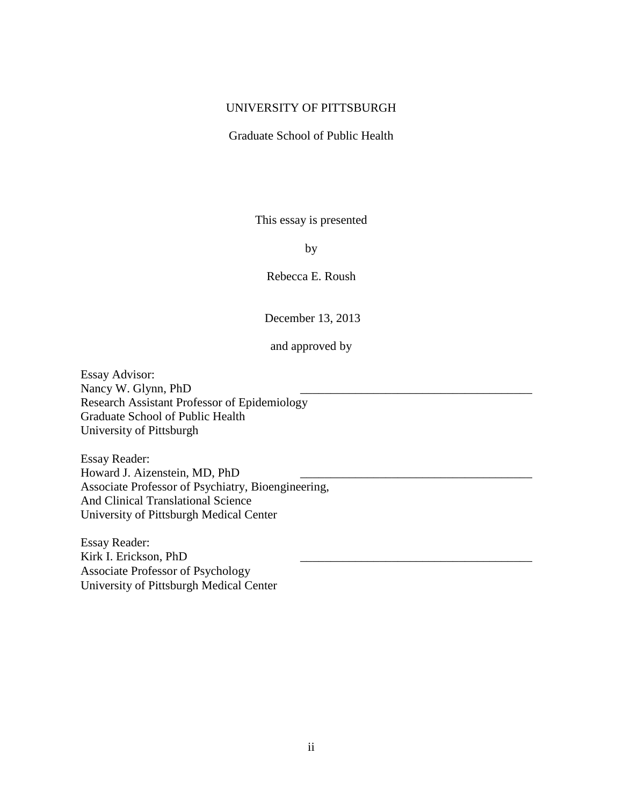## UNIVERSITY OF PITTSBURGH

Graduate School of Public Health

This essay is presented

by

Rebecca E. Roush

December 13, 2013

and approved by

Essay Advisor: Nancy W. Glynn, PhD Research Assistant Professor of Epidemiology Graduate School of Public Health University of Pittsburgh

Essay Reader: Howard J. Aizenstein, MD, PhD Associate Professor of Psychiatry, Bioengineering, And Clinical Translational Science University of Pittsburgh Medical Center

Essay Reader: Kirk I. Erickson, PhD Associate Professor of Psychology University of Pittsburgh Medical Center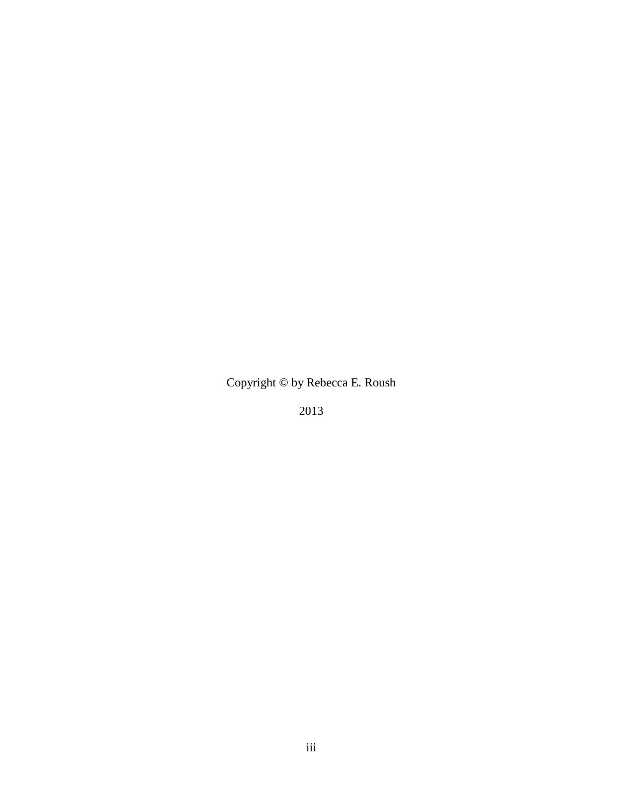Copyright © by Rebecca E. Roush

2013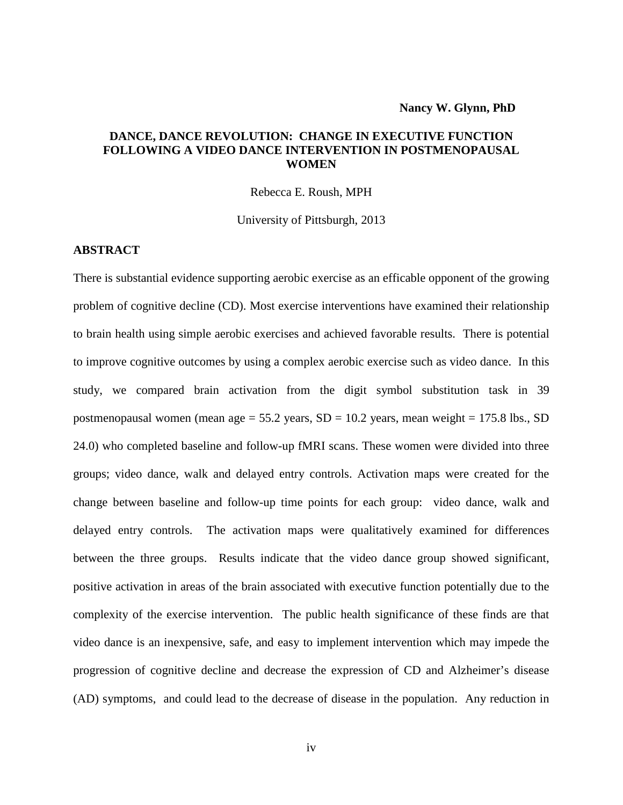## **DANCE, DANCE REVOLUTION: CHANGE IN EXECUTIVE FUNCTION FOLLOWING A VIDEO DANCE INTERVENTION IN POSTMENOPAUSAL WOMEN**

Rebecca E. Roush, MPH

University of Pittsburgh, 2013

#### **ABSTRACT**

There is substantial evidence supporting aerobic exercise as an efficable opponent of the growing problem of cognitive decline (CD). Most exercise interventions have examined their relationship to brain health using simple aerobic exercises and achieved favorable results. There is potential to improve cognitive outcomes by using a complex aerobic exercise such as video dance. In this study, we compared brain activation from the digit symbol substitution task in 39 postmenopausal women (mean age =  $55.2$  years, SD =  $10.2$  years, mean weight =  $175.8$  lbs., SD 24.0) who completed baseline and follow-up fMRI scans. These women were divided into three groups; video dance, walk and delayed entry controls. Activation maps were created for the change between baseline and follow-up time points for each group: video dance, walk and delayed entry controls. The activation maps were qualitatively examined for differences between the three groups. Results indicate that the video dance group showed significant, positive activation in areas of the brain associated with executive function potentially due to the complexity of the exercise intervention. The public health significance of these finds are that video dance is an inexpensive, safe, and easy to implement intervention which may impede the progression of cognitive decline and decrease the expression of CD and Alzheimer's disease (AD) symptoms, and could lead to the decrease of disease in the population. Any reduction in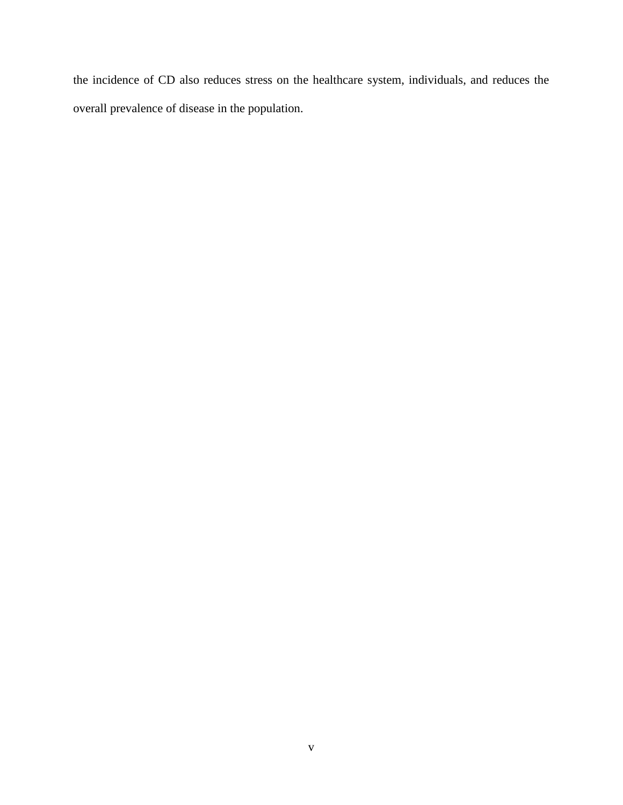the incidence of CD also reduces stress on the healthcare system, individuals, and reduces the overall prevalence of disease in the population.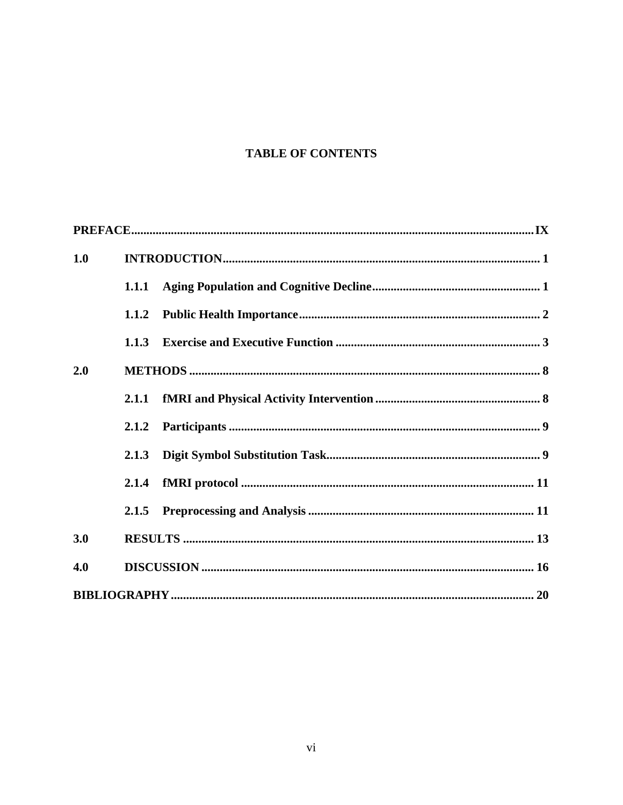# **TABLE OF CONTENTS**

| 1.0 |       |  |  |  |  |
|-----|-------|--|--|--|--|
|     | 1.1.1 |  |  |  |  |
|     | 1.1.2 |  |  |  |  |
|     | 1.1.3 |  |  |  |  |
| 2.0 |       |  |  |  |  |
|     |       |  |  |  |  |
|     | 2.1.2 |  |  |  |  |
|     | 2.1.3 |  |  |  |  |
|     | 2.1.4 |  |  |  |  |
|     | 2.1.5 |  |  |  |  |
| 3.0 |       |  |  |  |  |
| 4.0 |       |  |  |  |  |
|     |       |  |  |  |  |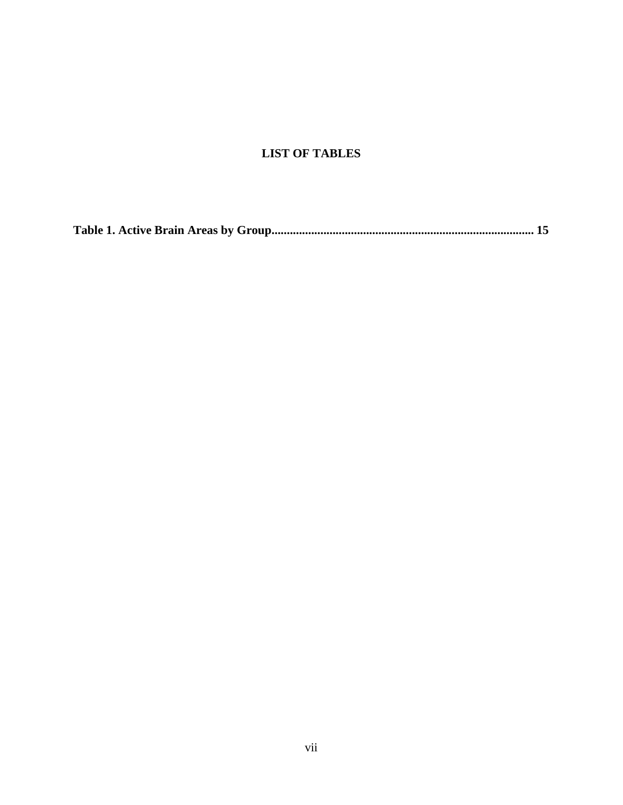# **LIST OF TABLES**

**[Table 1. Active Brain Areas by Group......................................................................................](#page-23-0) 15**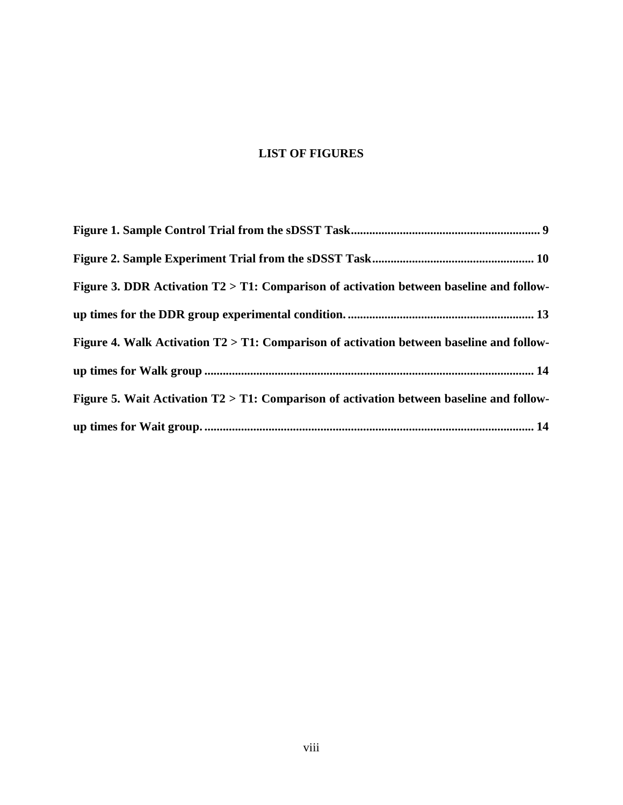# **LIST OF FIGURES**

| Figure 3. DDR Activation T2 > T1: Comparison of activation between baseline and follow-     |
|---------------------------------------------------------------------------------------------|
|                                                                                             |
| Figure 4. Walk Activation T2 > T1: Comparison of activation between baseline and follow-    |
|                                                                                             |
| Figure 5. Wait Activation $T2 > T1$ : Comparison of activation between baseline and follow- |
|                                                                                             |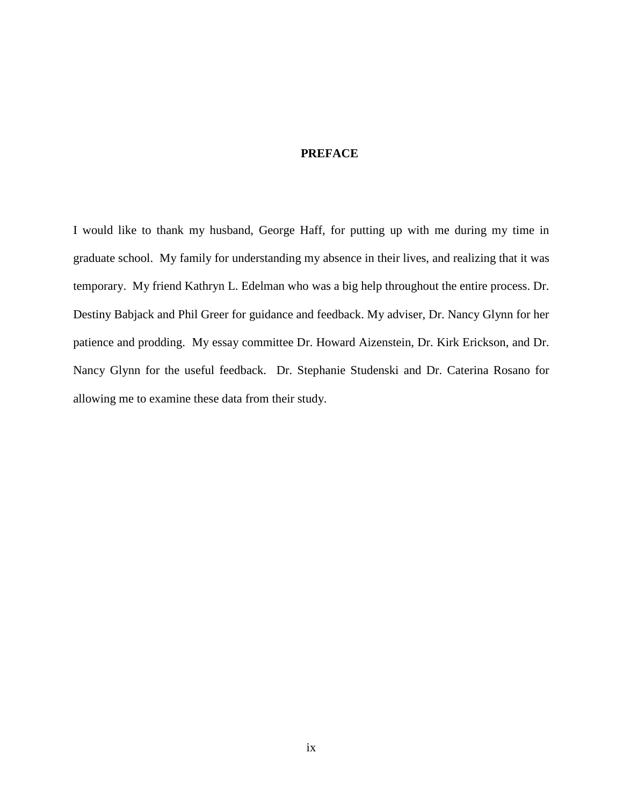### **PREFACE**

<span id="page-8-0"></span>I would like to thank my husband, George Haff, for putting up with me during my time in graduate school. My family for understanding my absence in their lives, and realizing that it was temporary. My friend Kathryn L. Edelman who was a big help throughout the entire process. Dr. Destiny Babjack and Phil Greer for guidance and feedback. My adviser, Dr. Nancy Glynn for her patience and prodding. My essay committee Dr. Howard Aizenstein, Dr. Kirk Erickson, and Dr. Nancy Glynn for the useful feedback. Dr. Stephanie Studenski and Dr. Caterina Rosano for allowing me to examine these data from their study.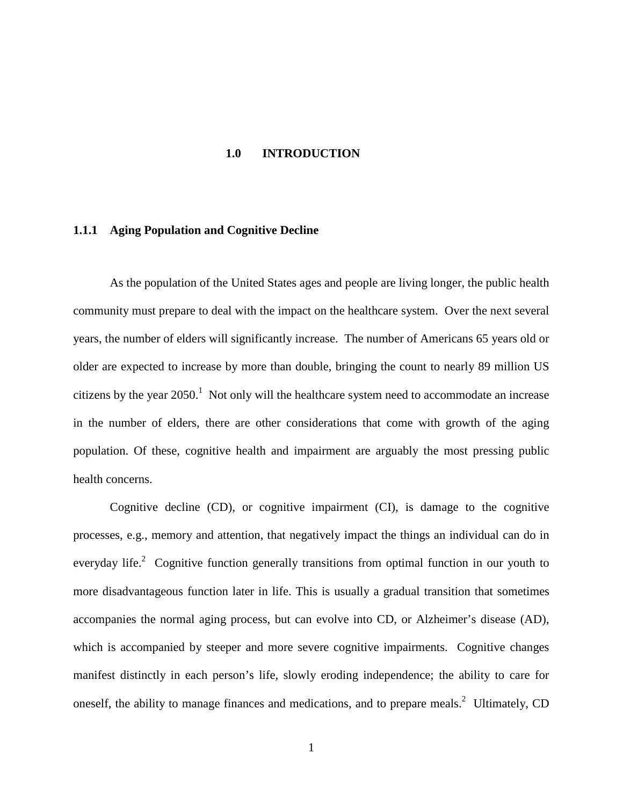#### **1.0 INTRODUCTION**

#### <span id="page-9-1"></span><span id="page-9-0"></span>**1.1.1 Aging Population and Cognitive Decline**

As the population of the United States ages and people are living longer, the public health community must prepare to deal with the impact on the healthcare system. Over the next several years, the number of elders will significantly increase. The number of Americans 65 years old or older are expected to increase by more than double, bringing the count to nearly 89 million US citizens by the year  $2050$ .<sup>[1](#page-28-1)</sup> Not only will the healthcare system need to accommodate an increase in the number of elders, there are other considerations that come with growth of the aging population. Of these, cognitive health and impairment are arguably the most pressing public health concerns.

Cognitive decline (CD), or cognitive impairment (CI), is damage to the cognitive processes, e.g., memory and attention, that negatively impact the things an individual can do in everydaylife.<sup>2</sup> Cognitive function generally transitions from optimal function in our youth to more disadvantageous function later in life. This is usually a gradual transition that sometimes accompanies the normal aging process, but can evolve into CD, or Alzheimer's disease (AD), which is accompanied by steeper and more severe cognitive impairments. Cognitive changes manifest distinctly in each person's life, slowly eroding independence; the ability to care for oneself, the ability to manage finances and medications, and to prepare meals.<sup>[2](#page-28-2)</sup> Ultimately, CD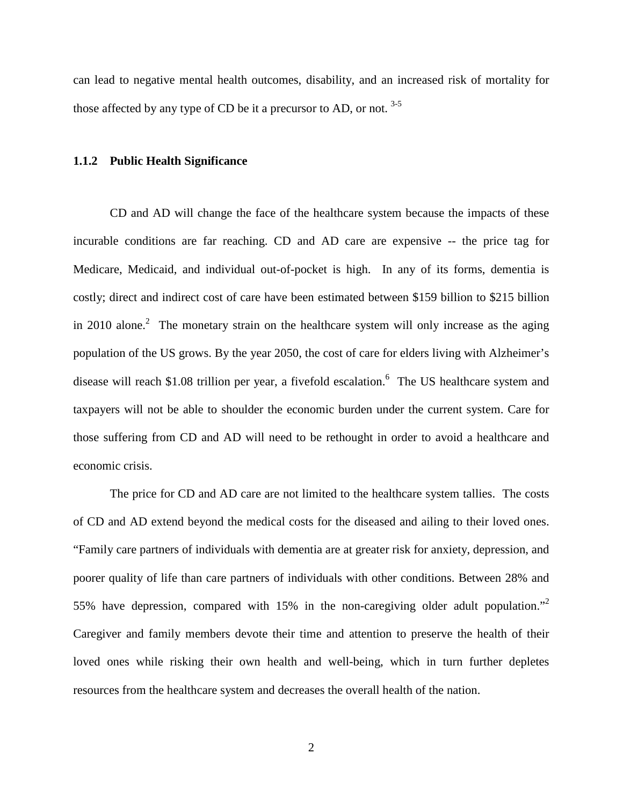can lead to negative mental health outcomes, disability, and an increased risk of mortality for those affected by any type of CD be it a precursor to AD, or not.  $3-5$ 

#### <span id="page-10-0"></span>**1.1.2 Public Health Significance**

CD and AD will change the face of the healthcare system because the impacts of these incurable conditions are far reaching. CD and AD care are expensive -- the price tag for Medicare, Medicaid, and individual out-of-pocket is high. In any of its forms, dementia is costly; direct and indirect cost of care have been estimated between \$159 billion to \$215 billion in [2](#page-28-2)010 alone.<sup>2</sup> The monetary strain on the healthcare system will only increase as the aging population of the US grows. By the year 2050, the cost of care for elders living with Alzheimer's disease will reach \$1.08 trillion per year, a fivefold escalation.<sup>[6](#page-28-4)</sup> The US healthcare system and taxpayers will not be able to shoulder the economic burden under the current system. Care for those suffering from CD and AD will need to be rethought in order to avoid a healthcare and economic crisis.

The price for CD and AD care are not limited to the healthcare system tallies. The costs of CD and AD extend beyond the medical costs for the diseased and ailing to their loved ones. "Family care partners of individuals with dementia are at greater risk for anxiety, depression, and poorer quality of life than care partners of individuals with other conditions. Between 28% and 55% have depression, compared with  $15%$  in the non-caregiving older adult population." Caregiver and family members devote their time and attention to preserve the health of their loved ones while risking their own health and well-being, which in turn further depletes resources from the healthcare system and decreases the overall health of the nation.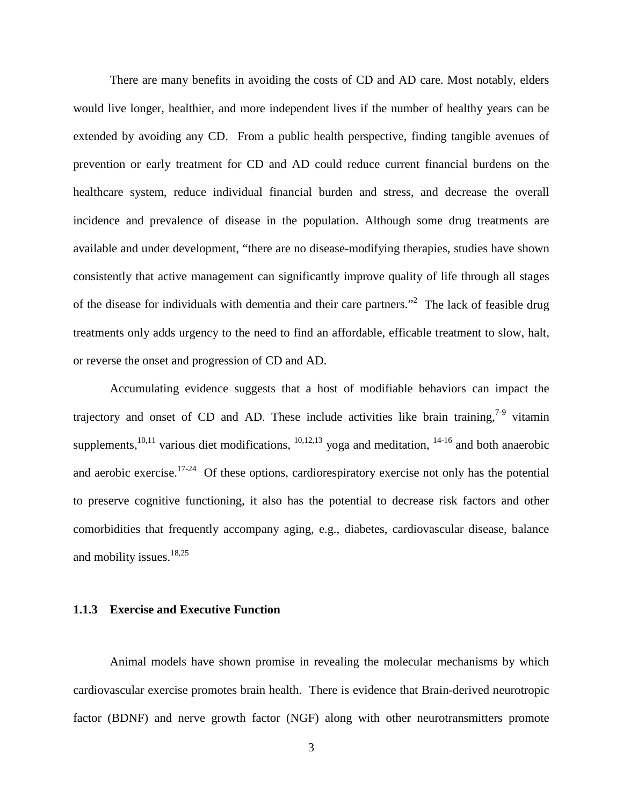There are many benefits in avoiding the costs of CD and AD care. Most notably, elders would live longer, healthier, and more independent lives if the number of healthy years can be extended by avoiding any CD. From a public health perspective, finding tangible avenues of prevention or early treatment for CD and AD could reduce current financial burdens on the healthcare system, reduce individual financial burden and stress, and decrease the overall incidence and prevalence of disease in the population. Although some drug treatments are available and under development, "there are no disease-modifying therapies, studies have shown consistently that active management can significantly improve quality of life through all stages ofthe disease for individuals with dementia and their care partners."<sup>2</sup> The lack of feasible drug treatments only adds urgency to the need to find an affordable, efficable treatment to slow, halt, or reverse the onset and progression of CD and AD.

Accumulating evidence suggests that a host of modifiable behaviors can impact the trajectory and onset of CD and AD. These include activities like brain training,  $7-9$  vitamin supplements,  $^{10,11}$  $^{10,11}$  $^{10,11}$  $^{10,11}$  various diet modifications,  $^{10,12,13}$  $^{10,12,13}$  $^{10,12,13}$  $^{10,12,13}$  yoga and meditation,  $^{14-16}$  $^{14-16}$  $^{14-16}$  and both anaerobic and aerobic exercise.<sup>17-24</sup> Of these options, cardiorespiratory exercise not only has the potential to preserve cognitive functioning, it also has the potential to decrease risk factors and other comorbidities that frequently accompany aging, e.g., diabetes, cardiovascular disease, balance and mobility issues. [18,](#page-29-4)[25](#page-29-5)

#### <span id="page-11-0"></span>**1.1.3 Exercise and Executive Function**

Animal models have shown promise in revealing the molecular mechanisms by which cardiovascular exercise promotes brain health. There is evidence that Brain-derived neurotropic factor (BDNF) and nerve growth factor (NGF) along with other neurotransmitters promote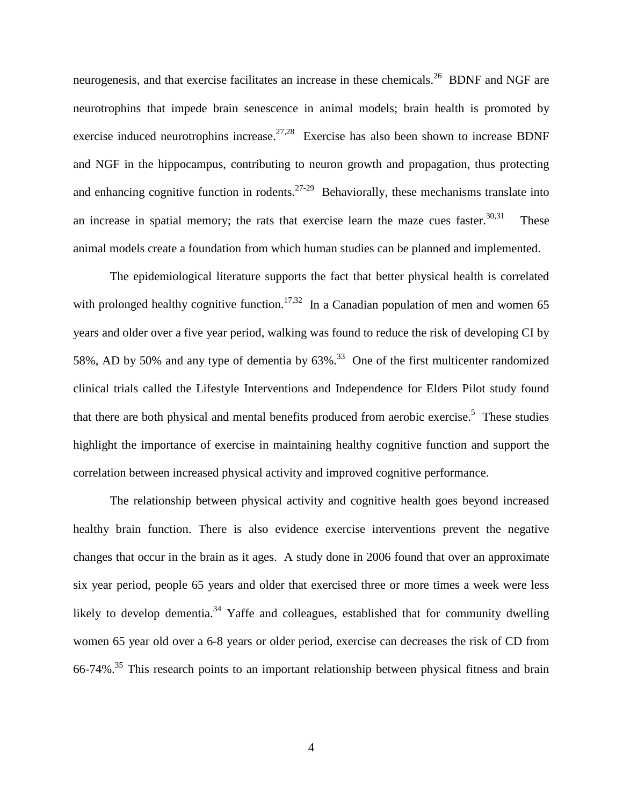neurogenesis, and that exercise facilitates an increase in these chemicals.<sup>26</sup> BDNF and NGF are neurotrophins that impede brain senescence in animal models; brain health is promoted by exercise induced neurotrophins increase.<sup>[27,](#page-29-7)28</sup> Exercise has also been shown to increase BDNF and NGF in the hippocampus, contributing to neuron growth and propagation, thus protecting and enhancing cognitive function in rodents.<sup>27-29</sup> Behaviorally, these mechanisms translate into an increase in spatial memory; the rats that exercise learn the maze cues faster. $30,31$  These animal models create a foundation from which human studies can be planned and implemented.

The epidemiological literature supports the fact that better physical health is correlated with prolonged healthy cognitive function.<sup>[17](#page-29-3),32</sup> In a Canadian population of men and women 65 years and older over a five year period, walking was found to reduce the risk of developing CI by 58%, AD by 50% and any type of dementia by  $63\%$ .<sup>33</sup> One of the first multicenter randomized clinical trials called the Lifestyle Interventions and Independence for Elders Pilot study found that there are both physical and mental benefits produced from aerobic exercise.<sup>[5](#page-28-8)</sup> These studies highlight the importance of exercise in maintaining healthy cognitive function and support the correlation between increased physical activity and improved cognitive performance.

The relationship between physical activity and cognitive health goes beyond increased healthy brain function. There is also evidence exercise interventions prevent the negative changes that occur in the brain as it ages. A study done in 2006 found that over an approximate six year period, people 65 years and older that exercised three or more times a week were less likely to develop dementia.<sup>[34](#page-30-5)</sup> Yaffe and colleagues, established that for community dwelling women 65 year old over a 6-8 years or older period, exercise can decreases the risk of CD from 66-74%.<sup>[35](#page-30-6)</sup> This research points to an important relationship between physical fitness and brain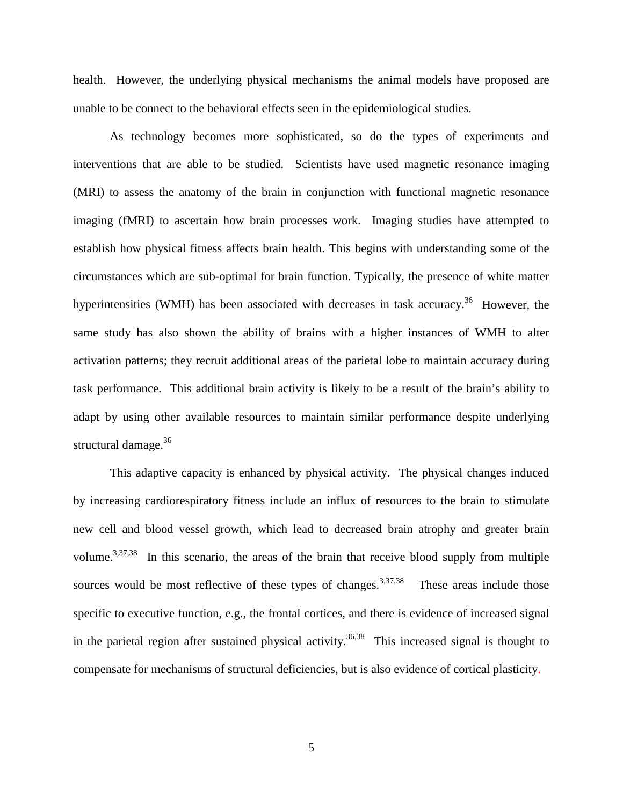health. However, the underlying physical mechanisms the animal models have proposed are unable to be connect to the behavioral effects seen in the epidemiological studies.

As technology becomes more sophisticated, so do the types of experiments and interventions that are able to be studied. Scientists have used magnetic resonance imaging (MRI) to assess the anatomy of the brain in conjunction with functional magnetic resonance imaging (fMRI) to ascertain how brain processes work. Imaging studies have attempted to establish how physical fitness affects brain health. This begins with understanding some of the circumstances which are sub-optimal for brain function. Typically, the presence of white matter hyperintensities (WMH) has been associated with decreases in task accuracy.<sup>36</sup> However, the same study has also shown the ability of brains with a higher instances of WMH to alter activation patterns; they recruit additional areas of the parietal lobe to maintain accuracy during task performance. This additional brain activity is likely to be a result of the brain's ability to adapt by using other available resources to maintain similar performance despite underlying structural damage.<sup>[36](#page-30-7)</sup>

This adaptive capacity is enhanced by physical activity. The physical changes induced by increasing cardiorespiratory fitness include an influx of resources to the brain to stimulate new cell and blood vessel growth, which lead to decreased brain atrophy and greater brain volume.<sup>3[,37](#page-30-8),38</sup> In this scenario, the areas of the brain that receive blood supply from multiple sources would be most reflective of these types of changes.<sup>[3](#page-28-3)[,37](#page-30-8)[,38](#page-30-9)</sup> These areas include those specific to executive function, e.g., the frontal cortices, and there is evidence of increased signal in the parietal region after sustained physical activity.<sup>[36,](#page-30-7)38</sup> This increased signal is thought to compensate for mechanisms of structural deficiencies, but is also evidence of cortical plasticity.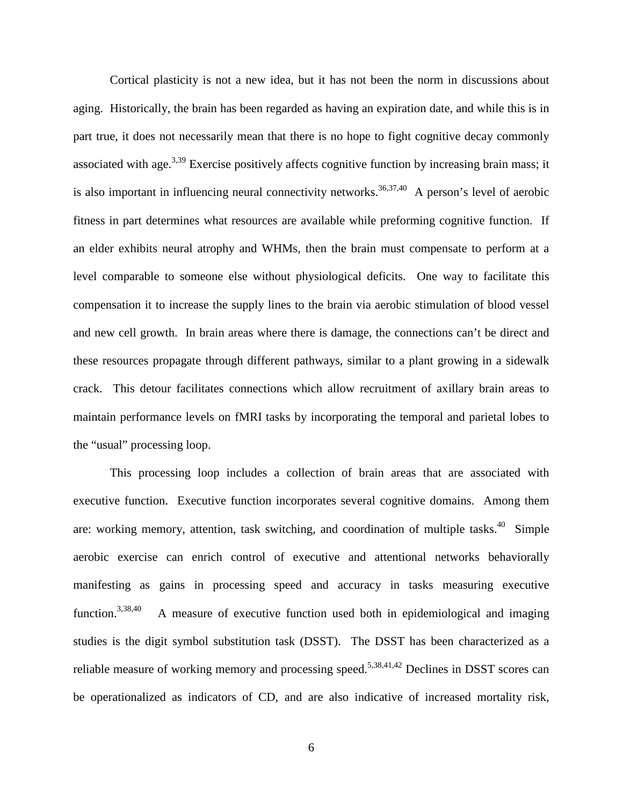Cortical plasticity is not a new idea, but it has not been the norm in discussions about aging. Historically, the brain has been regarded as having an expiration date, and while this is in part true, it does not necessarily mean that there is no hope to fight cognitive decay commonly associated with age.<sup>[3,](#page-28-3)[39](#page-30-10)</sup> Exercise positively affects cognitive function by increasing brain mass; it is also important in influencing neural connectivity networks.<sup>[36](#page-30-7)[,37](#page-30-8)[,40](#page-30-11)</sup> A person's level of aerobic fitness in part determines what resources are available while preforming cognitive function. If an elder exhibits neural atrophy and WHMs, then the brain must compensate to perform at a level comparable to someone else without physiological deficits. One way to facilitate this compensation it to increase the supply lines to the brain via aerobic stimulation of blood vessel and new cell growth. In brain areas where there is damage, the connections can't be direct and these resources propagate through different pathways, similar to a plant growing in a sidewalk crack. This detour facilitates connections which allow recruitment of axillary brain areas to maintain performance levels on fMRI tasks by incorporating the temporal and parietal lobes to the "usual" processing loop.

This processing loop includes a collection of brain areas that are associated with executive function. Executive function incorporates several cognitive domains. Among them are: working memory, attention, task switching, and coordination of multiple tasks. $40$  Simple aerobic exercise can enrich control of executive and attentional networks behaviorally manifesting as gains in processing speed and accuracy in tasks measuring executive function.<sup>3,38,40</sup> [3](#page-28-3)[,38](#page-30-9)[,40](#page-30-11) A measure of executive function used both in epidemiological and imaging studies is the digit symbol substitution task (DSST). The DSST has been characterized as a reliable measure of working memory and processing speed.<sup>[5,](#page-28-8)[38,](#page-30-9)[41,](#page-30-12)[42](#page-30-13)</sup> Declines in DSST scores can be operationalized as indicators of CD, and are also indicative of increased mortality risk,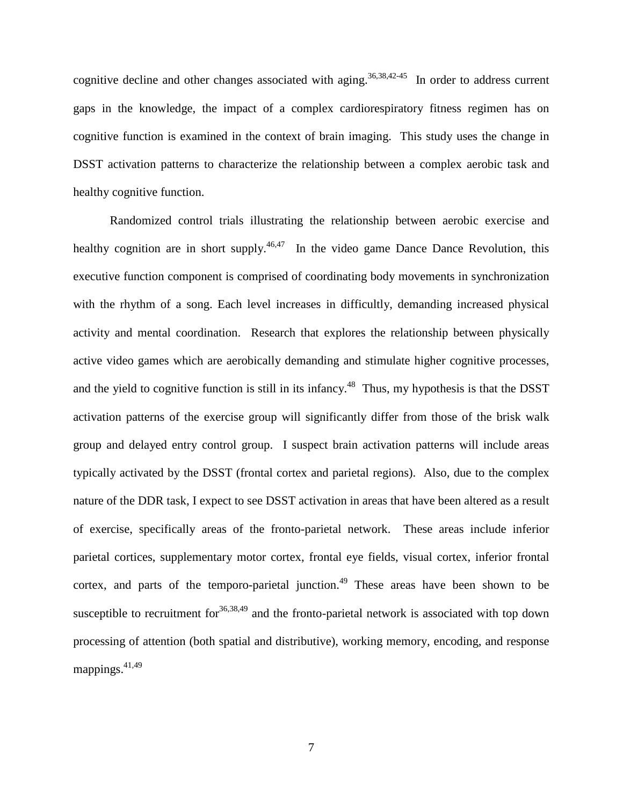cognitive decline and other changes associated with aging.<sup>[36,](#page-30-7)[38,](#page-30-9)42-45</sup> In order to address current gaps in the knowledge, the impact of a complex cardiorespiratory fitness regimen has on cognitive function is examined in the context of brain imaging. This study uses the change in DSST activation patterns to characterize the relationship between a complex aerobic task and healthy cognitive function.

Randomized control trials illustrating the relationship between aerobic exercise and healthy cognition are in short supply.<sup>46,47</sup> In the video game Dance Dance Revolution, this executive function component is comprised of coordinating body movements in synchronization with the rhythm of a song. Each level increases in difficultly, demanding increased physical activity and mental coordination. Research that explores the relationship between physically active video games which are aerobically demanding and stimulate higher cognitive processes, and the yield to cognitive function is still in its infancy.<sup>48</sup> Thus, my hypothesis is that the DSST activation patterns of the exercise group will significantly differ from those of the brisk walk group and delayed entry control group. I suspect brain activation patterns will include areas typically activated by the DSST (frontal cortex and parietal regions). Also, due to the complex nature of the DDR task, I expect to see DSST activation in areas that have been altered as a result of exercise, specifically areas of the fronto-parietal network. These areas include inferior parietal cortices, supplementary motor cortex, frontal eye fields, visual cortex, inferior frontal cortex, and parts of the temporo-parietal junction.<sup>[49](#page-31-3)</sup> These areas have been shown to be susceptible to recruitment for  $36,38,49$  $36,38,49$  $36,38,49$  and the fronto-parietal network is associated with top down processing of attention (both spatial and distributive), working memory, encoding, and response mappings. $41,49$  $41,49$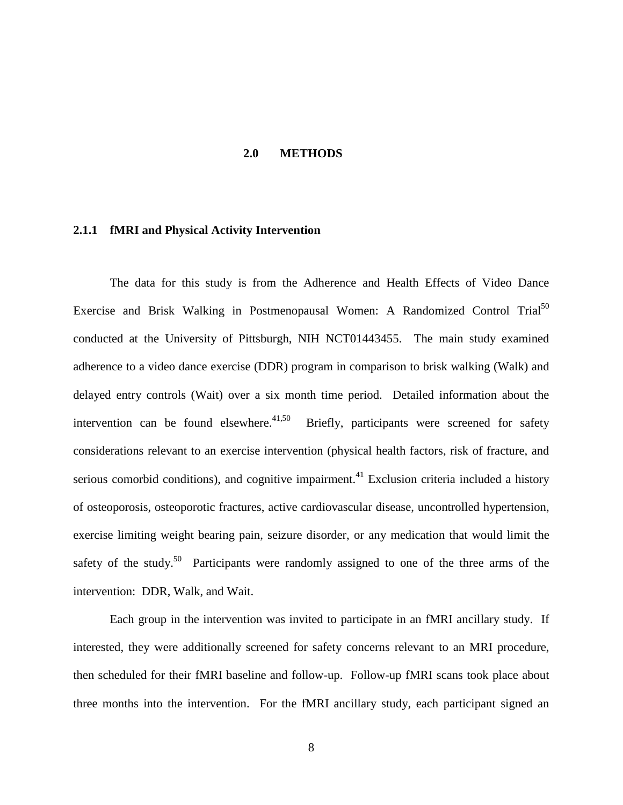#### **2.0 METHODS**

#### <span id="page-16-1"></span><span id="page-16-0"></span>**2.1.1 fMRI and Physical Activity Intervention**

The data for this study is from the Adherence and Health Effects of Video Dance Exercise and Brisk Walking in Postmenopausal Women: A Randomized Control Trial<sup>[50](#page-31-4)</sup> conducted at the University of Pittsburgh, NIH NCT01443455. The main study examined adherence to a video dance exercise (DDR) program in comparison to brisk walking (Walk) and delayed entry controls (Wait) over a six month time period. Detailed information about the intervention can be found elsewhere.<sup>[41,](#page-30-12)50</sup> Briefly, participants were screened for safety considerations relevant to an exercise intervention (physical health factors, risk of fracture, and serious comorbid conditions), and cognitive impairment.<sup>[41](#page-30-12)</sup> Exclusion criteria included a history of osteoporosis, osteoporotic fractures, active cardiovascular disease, uncontrolled hypertension, exercise limiting weight bearing pain, seizure disorder, or any medication that would limit the safety of the study.<sup>50</sup> Participants were randomly assigned to one of the three arms of the intervention: DDR, Walk, and Wait.

Each group in the intervention was invited to participate in an fMRI ancillary study. If interested, they were additionally screened for safety concerns relevant to an MRI procedure, then scheduled for their fMRI baseline and follow-up. Follow-up fMRI scans took place about three months into the intervention. For the fMRI ancillary study, each participant signed an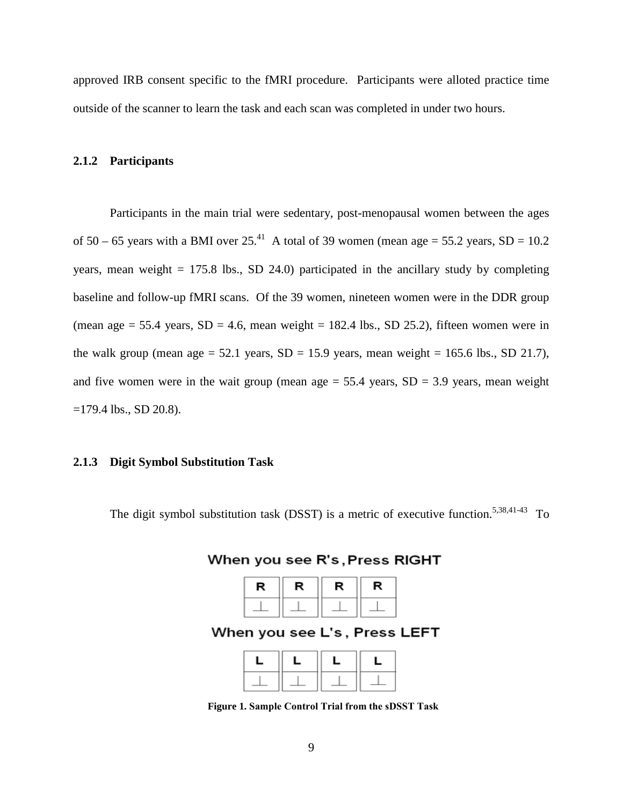approved IRB consent specific to the fMRI procedure. Participants were alloted practice time outside of the scanner to learn the task and each scan was completed in under two hours.

#### <span id="page-17-0"></span>**2.1.2 Participants**

Participants in the main trial were sedentary, post-menopausal women between the ages of  $50 - 65$  years with a BMI over  $25<sup>41</sup>$  A total of 39 women (mean age = 55.2 years, SD = 10.2 years, mean weight  $= 175.8$  lbs., SD 24.0) participated in the ancillary study by completing baseline and follow-up fMRI scans. Of the 39 women, nineteen women were in the DDR group (mean age  $= 55.4$  years,  $SD = 4.6$ , mean weight  $= 182.4$  lbs.,  $SD 25.2$ ), fifteen women were in the walk group (mean age  $= 52.1$  years,  $SD = 15.9$  years, mean weight  $= 165.6$  lbs.,  $SD$  21.7), and five women were in the wait group (mean age  $= 55.4$  years, SD  $= 3.9$  years, mean weight =179.4 lbs., SD 20.8).

#### <span id="page-17-1"></span>**2.1.3 Digit Symbol Substitution Task**

The digit symbol substitution task (DSST) is a metric of executive function.<sup>5[,38](#page-30-9),41-43</sup> To

When you see R's, Press RIGHT

| R | R | R | R |  |
|---|---|---|---|--|
|   |   |   |   |  |

When you see L's, Press LEFT

**Figure 1. Sample Control Trial from the sDSST Task**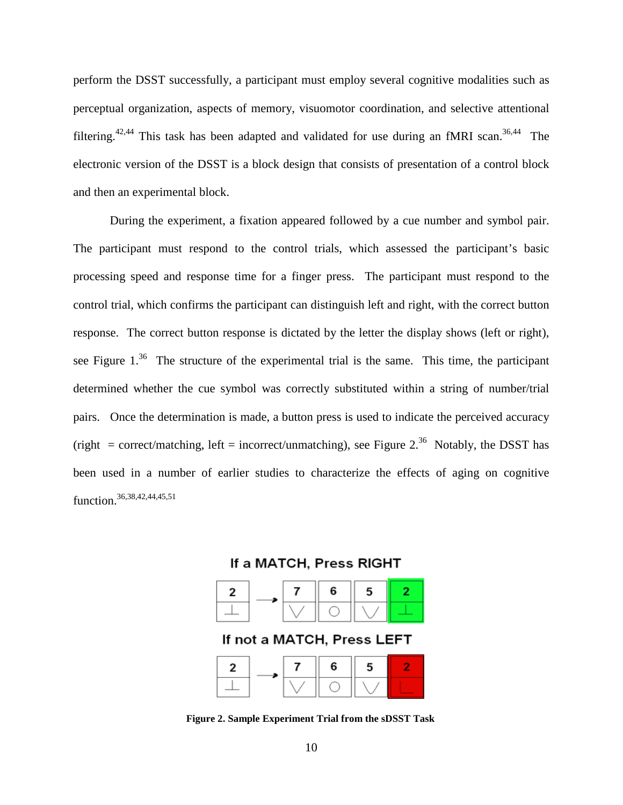perform the DSST successfully, a participant must employ several cognitive modalities such as perceptual organization, aspects of memory, visuomotor coordination, and selective attentional filtering.<sup>[42,](#page-30-13)[44](#page-31-5)</sup> This task has been adapted and validated for use during an fMRI scan.<sup>[36](#page-30-7),44</sup> The electronic version of the DSST is a block design that consists of presentation of a control block and then an experimental block.

During the experiment, a fixation appeared followed by a cue number and symbol pair. The participant must respond to the control trials, which assessed the participant's basic processing speed and response time for a finger press. The participant must respond to the control trial, which confirms the participant can distinguish left and right, with the correct button response. The correct button response is dictated by the letter the display shows (left or right), see Figure  $1^{36}$  The structure of the experimental trial is the same. This time, the participant determined whether the cue symbol was correctly substituted within a string of number/trial pairs. Once the determination is made, a button press is used to indicate the perceived accuracy (right = correct/matching, left = incorrect/unmatching), see Figure  $2^{36}$  Notably, the DSST has been used in a number of earlier studies to characterize the effects of aging on cognitive function[.36](#page-30-7)[,38](#page-30-9)[,42](#page-30-13)[,44](#page-31-5)[,45](#page-31-6)[,51](#page-31-7)





**Figure 2. Sample Experiment Trial from the sDSST Task**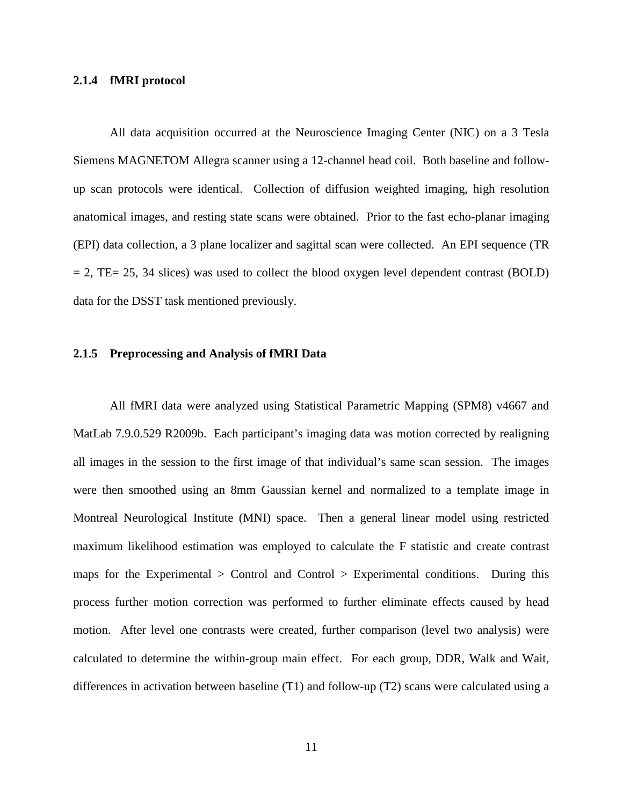## <span id="page-19-0"></span>**2.1.4 fMRI protocol**

All data acquisition occurred at the Neuroscience Imaging Center (NIC) on a 3 Tesla Siemens MAGNETOM Allegra scanner using a 12-channel head coil. Both baseline and followup scan protocols were identical. Collection of diffusion weighted imaging, high resolution anatomical images, and resting state scans were obtained. Prior to the fast echo-planar imaging (EPI) data collection, a 3 plane localizer and sagittal scan were collected. An EPI sequence (TR  $= 2$ , TE= 25, 34 slices) was used to collect the blood oxygen level dependent contrast (BOLD) data for the DSST task mentioned previously.

#### <span id="page-19-1"></span>**2.1.5 Preprocessing and Analysis of fMRI Data**

All fMRI data were analyzed using Statistical Parametric Mapping (SPM8) v4667 and MatLab 7.9.0.529 R2009b. Each participant's imaging data was motion corrected by realigning all images in the session to the first image of that individual's same scan session. The images were then smoothed using an 8mm Gaussian kernel and normalized to a template image in Montreal Neurological Institute (MNI) space. Then a general linear model using restricted maximum likelihood estimation was employed to calculate the F statistic and create contrast maps for the Experimental > Control and Control > Experimental conditions. During this process further motion correction was performed to further eliminate effects caused by head motion. After level one contrasts were created, further comparison (level two analysis) were calculated to determine the within-group main effect. For each group, DDR, Walk and Wait, differences in activation between baseline (T1) and follow-up (T2) scans were calculated using a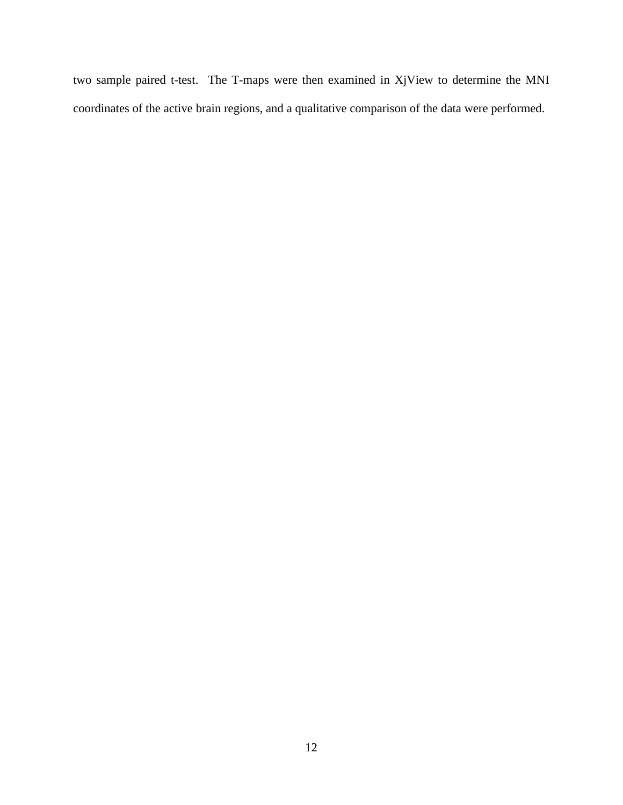two sample paired t-test. The T-maps were then examined in XjView to determine the MNI coordinates of the active brain regions, and a qualitative comparison of the data were performed.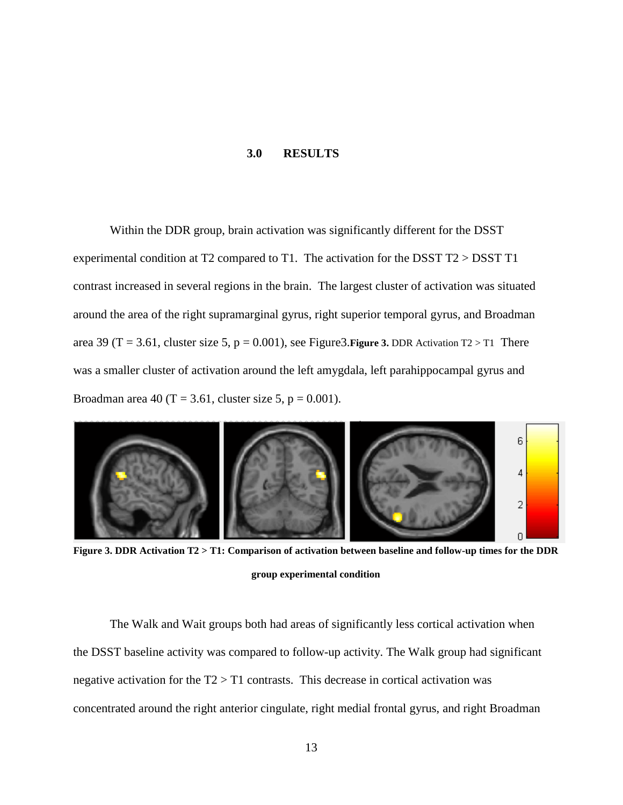### **3.0 RESULTS**

<span id="page-21-0"></span>Within the DDR group, brain activation was significantly different for the DSST experimental condition at T2 compared to T1. The activation for the DSST T2 > DSST T1 contrast increased in several regions in the brain. The largest cluster of activation was situated around the area of the right supramarginal gyrus, right superior temporal gyrus, and Broadman area 39 (T = 3.61, cluster size 5,  $p = 0.001$ ), see Figure 3. Eigure 3. [DDR Activation](#page-21-1) T2 > T1 There was a smaller cluster of activation around the left amygdala, left parahippocampal gyrus and Broadman area 40 (T = 3.61, cluster size 5,  $p = 0.001$ ).



**Figure 3. DDR Activation T2 > T1: Comparison of activation between baseline and follow-up times for the DDR group experimental condition**

<span id="page-21-1"></span>The Walk and Wait groups both had areas of significantly less cortical activation when the DSST baseline activity was compared to follow-up activity. The Walk group had significant negative activation for the T2 > T1 contrasts. This decrease in cortical activation was concentrated around the right anterior cingulate, right medial frontal gyrus, and right Broadman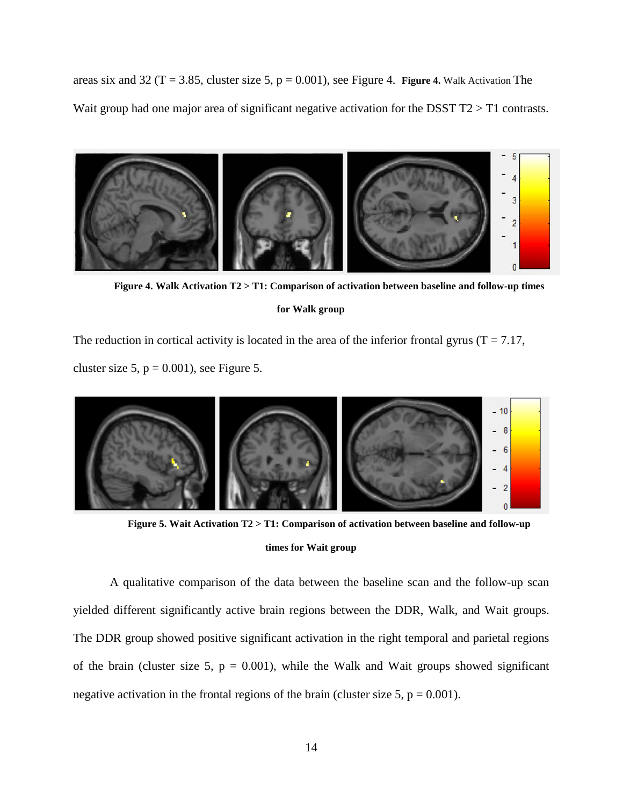areas six and 32 ( $T = 3.85$ , cluster size 5,  $p = 0.001$ ), see Figure 4. **Figure 4.** [Walk Activation T](#page-22-0)he Wait group had one major area of significant negative activation for the DSST T2 > T1 contrasts.



**Figure 4. Walk Activation T2 > T1: Comparison of activation between baseline and follow-up times for Walk group**

<span id="page-22-0"></span>The reduction in cortical activity is located in the area of the inferior frontal gyrus ( $T = 7.17$ , cluster size 5,  $p = 0.001$ ), see Figure 5.



**Figure 5. Wait Activation T2 > T1: Comparison of activation between baseline and follow-up** 

#### **times for Wait group**

A qualitative comparison of the data between the baseline scan and the follow-up scan yielded different significantly active brain regions between the DDR, Walk, and Wait groups. The DDR group showed positive significant activation in the right temporal and parietal regions of the brain (cluster size 5,  $p = 0.001$ ), while the Walk and Wait groups showed significant negative activation in the frontal regions of the brain (cluster size 5,  $p = 0.001$ ).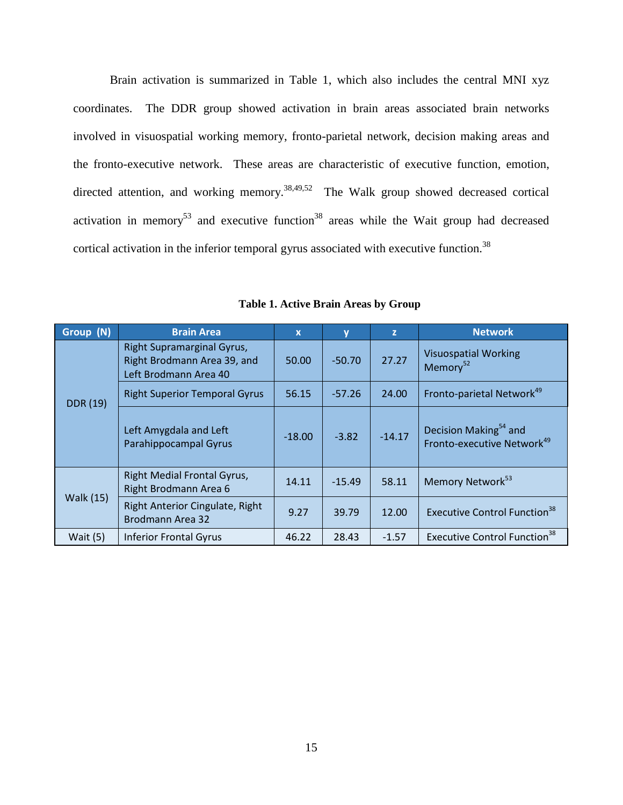Brain activation is summarized in Table 1, which also includes the central MNI xyz coordinates. The DDR group showed activation in brain areas associated brain networks involved in visuospatial working memory, fronto-parietal network, decision making areas and the fronto-executive network. These areas are characteristic of executive function, emotion, directed attention, and working memory.<sup>[38](#page-30-9)[,49](#page-31-3),52</sup> The Walk group showed decreased cortical activation in memory<sup>53</sup> and executive function<sup>38</sup> areas while the Wait group had decreased cortical activation in the inferior temporal gyrus associated with executive function.<sup>38</sup>

<span id="page-23-0"></span>

| Group (N)        | <b>Brain Area</b>                                                                  | $\mathbf x$ | $\mathbf v$ | z        | <b>Network</b>                                                              |
|------------------|------------------------------------------------------------------------------------|-------------|-------------|----------|-----------------------------------------------------------------------------|
| <b>DDR</b> (19)  | Right Supramarginal Gyrus,<br>Right Brodmann Area 39, and<br>Left Brodmann Area 40 | 50.00       | $-50.70$    | 27.27    | <b>Visuospatial Working</b><br>Memory <sup>52</sup>                         |
|                  | <b>Right Superior Temporal Gyrus</b>                                               | 56.15       | $-57.26$    | 24.00    | Fronto-parietal Network <sup>49</sup>                                       |
|                  | Left Amygdala and Left<br>Parahippocampal Gyrus                                    | $-18.00$    | $-3.82$     | $-14.17$ | Decision Making <sup>54</sup> and<br>Fronto-executive Network <sup>49</sup> |
| <b>Walk (15)</b> | Right Medial Frontal Gyrus,<br>Right Brodmann Area 6                               | 14.11       | $-15.49$    | 58.11    | Memory Network <sup>53</sup>                                                |
|                  | Right Anterior Cingulate, Right<br><b>Brodmann Area 32</b>                         | 9.27        | 39.79       | 12.00    | Executive Control Function <sup>38</sup>                                    |
| Wait $(5)$       | <b>Inferior Frontal Gyrus</b>                                                      | 46.22       | 28.43       | $-1.57$  | <b>Executive Control Function<sup>38</sup></b>                              |

**Table 1. Active Brain Areas by Group**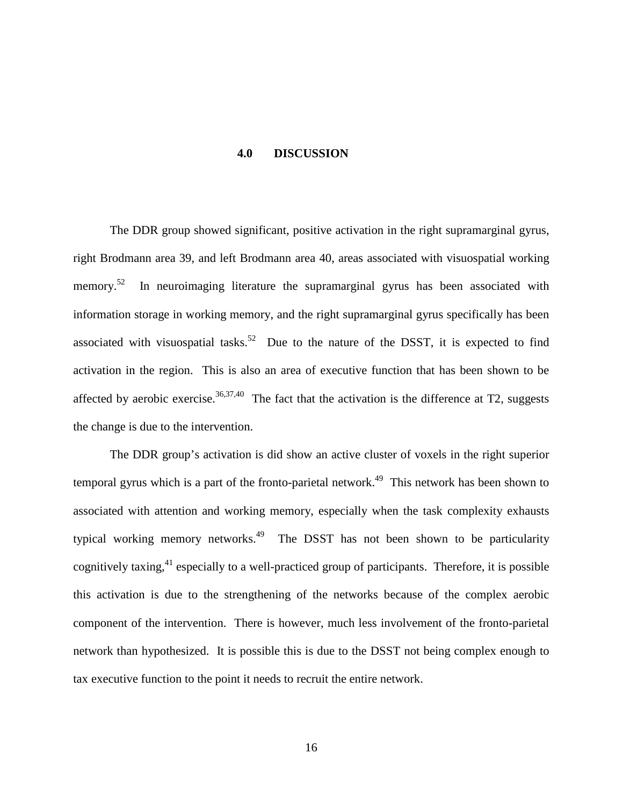#### **4.0 DISCUSSION**

<span id="page-24-0"></span>The DDR group showed significant, positive activation in the right supramarginal gyrus, right Brodmann area 39, and left Brodmann area 40, areas associated with visuospatial working memory. $52$ In neuroimaging literature the supramarginal gyrus has been associated with information storage in working memory, and the right supramarginal gyrus specifically has been associated with visuospatial tasks.<sup>52</sup> Due to the nature of the DSST, it is expected to find activation in the region. This is also an area of executive function that has been shown to be affected by aerobic exercise.<sup>[36,](#page-30-7)[37,](#page-30-8)40</sup> The fact that the activation is the difference at T2, suggests the change is due to the intervention.

The DDR group's activation is did show an active cluster of voxels in the right superior temporal gyrus which is a part of the fronto-parietal network.<sup>49</sup> This network has been shown to associated with attention and working memory, especially when the task complexity exhausts typical working memory networks.<sup>49</sup> The DSST has not been shown to be particularity cognitively taxing,<sup>[41](#page-30-12)</sup> especially to a well-practiced group of participants. Therefore, it is possible this activation is due to the strengthening of the networks because of the complex aerobic component of the intervention. There is however, much less involvement of the fronto-parietal network than hypothesized. It is possible this is due to the DSST not being complex enough to tax executive function to the point it needs to recruit the entire network.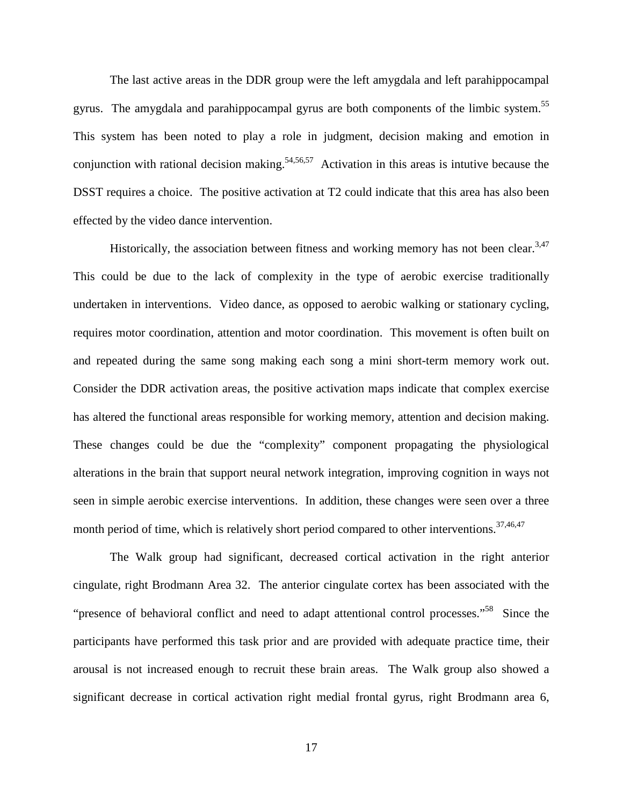The last active areas in the DDR group were the left amygdala and left parahippocampal gyrus. The amygdala and parahippocampal gyrus are both components of the limbic system. [55](#page-31-11)  This system has been noted to play a role in judgment, decision making and emotion in conjunction with rational decision making.<sup>[54](#page-31-10)[,56](#page-31-12),57</sup> Activation in this areas is intutive because the DSST requires a choice. The positive activation at T2 could indicate that this area has also been effected by the video dance intervention.

Historically, the association between fitness and working memory has not been clear.<sup>3[,47](#page-31-1)</sup> This could be due to the lack of complexity in the type of aerobic exercise traditionally undertaken in interventions. Video dance, as opposed to aerobic walking or stationary cycling, requires motor coordination, attention and motor coordination. This movement is often built on and repeated during the same song making each song a mini short-term memory work out. Consider the DDR activation areas, the positive activation maps indicate that complex exercise has altered the functional areas responsible for working memory, attention and decision making. These changes could be due the "complexity" component propagating the physiological alterations in the brain that support neural network integration, improving cognition in ways not seen in simple aerobic exercise interventions. In addition, these changes were seen over a three month period of time, which is relatively short period compared to other interventions.<sup>37,[46,](#page-31-0)[47](#page-31-1)</sup>

The Walk group had significant, decreased cortical activation in the right anterior cingulate, right Brodmann Area 32. The anterior cingulate cortex has been associated with the "presence of behavioral conflict and need to adapt attentional control processes."<sup>58</sup> Since the participants have performed this task prior and are provided with adequate practice time, their arousal is not increased enough to recruit these brain areas. The Walk group also showed a significant decrease in cortical activation right medial frontal gyrus, right Brodmann area 6,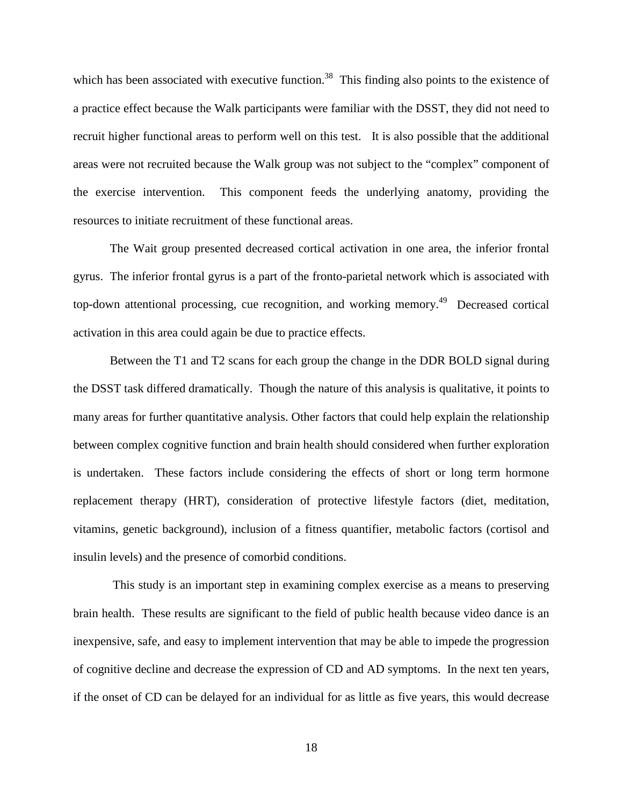which has been associated with executive function.<sup>[38](#page-30-9)</sup> This finding also points to the existence of a practice effect because the Walk participants were familiar with the DSST, they did not need to recruit higher functional areas to perform well on this test. It is also possible that the additional areas were not recruited because the Walk group was not subject to the "complex" component of the exercise intervention. This component feeds the underlying anatomy, providing the resources to initiate recruitment of these functional areas.

The Wait group presented decreased cortical activation in one area, the inferior frontal gyrus. The inferior frontal gyrus is a part of the fronto-parietal network which is associated with top-down attentional processing, cue recognition, and working memory.<sup>49</sup> Decreased cortical activation in this area could again be due to practice effects.

Between the T1 and T2 scans for each group the change in the DDR BOLD signal during the DSST task differed dramatically. Though the nature of this analysis is qualitative, it points to many areas for further quantitative analysis. Other factors that could help explain the relationship between complex cognitive function and brain health should considered when further exploration is undertaken. These factors include considering the effects of short or long term hormone replacement therapy (HRT), consideration of protective lifestyle factors (diet, meditation, vitamins, genetic background), inclusion of a fitness quantifier, metabolic factors (cortisol and insulin levels) and the presence of comorbid conditions.

This study is an important step in examining complex exercise as a means to preserving brain health. These results are significant to the field of public health because video dance is an inexpensive, safe, and easy to implement intervention that may be able to impede the progression of cognitive decline and decrease the expression of CD and AD symptoms. In the next ten years, if the onset of CD can be delayed for an individual for as little as five years, this would decrease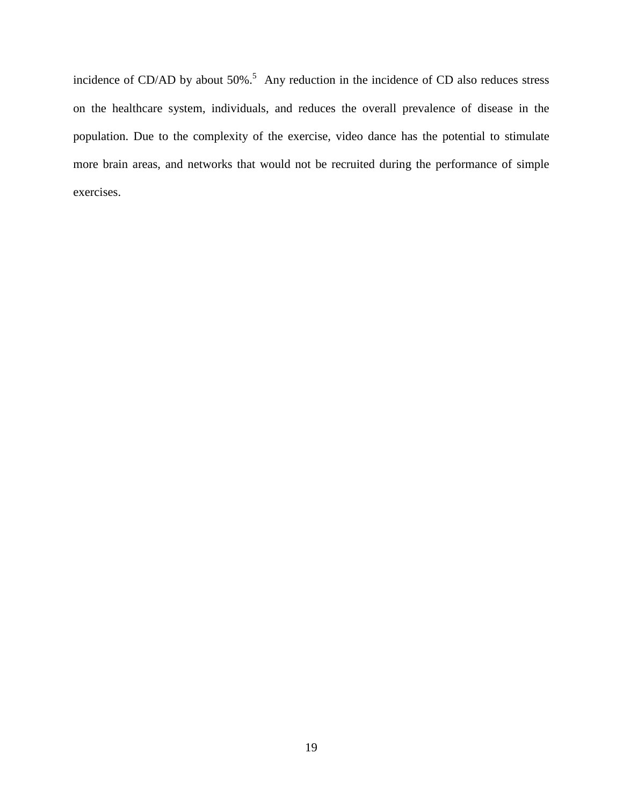incidenceof CD/AD by about 50%.<sup>5</sup> Any reduction in the incidence of CD also reduces stress on the healthcare system, individuals, and reduces the overall prevalence of disease in the population. Due to the complexity of the exercise, video dance has the potential to stimulate more brain areas, and networks that would not be recruited during the performance of simple exercises.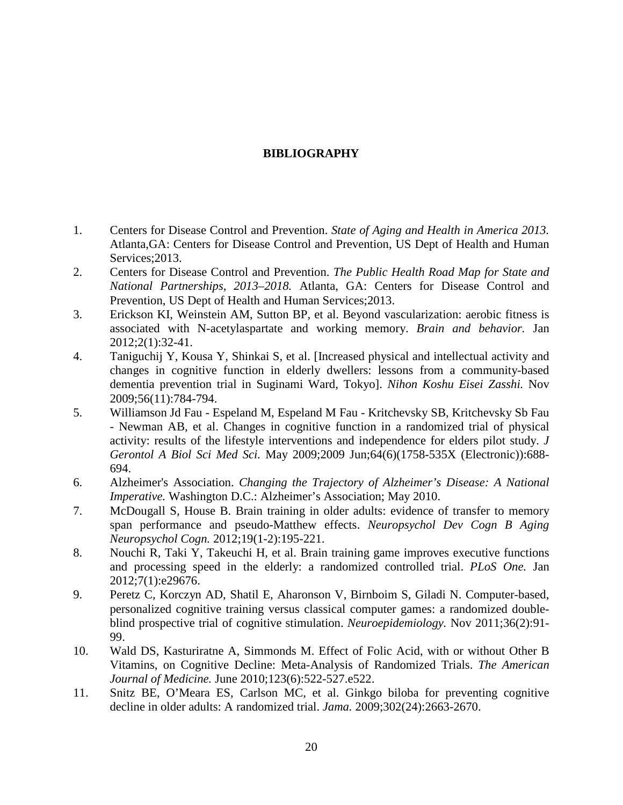# **BIBLIOGRAPHY**

- <span id="page-28-1"></span><span id="page-28-0"></span>1. Centers for Disease Control and Prevention. *State of Aging and Health in America 2013.*  Atlanta,GA: Centers for Disease Control and Prevention, US Dept of Health and Human Services: 2013.
- <span id="page-28-2"></span>2. Centers for Disease Control and Prevention. *The Public Health Road Map for State and National Partnerships, 2013–2018.* Atlanta, GA: Centers for Disease Control and Prevention, US Dept of Health and Human Services;2013.
- <span id="page-28-3"></span>3. Erickson KI, Weinstein AM, Sutton BP, et al. Beyond vascularization: aerobic fitness is associated with N-acetylaspartate and working memory. *Brain and behavior.* Jan 2012;2(1):32-41.
- 4. Taniguchij Y, Kousa Y, Shinkai S, et al. [Increased physical and intellectual activity and changes in cognitive function in elderly dwellers: lessons from a community-based dementia prevention trial in Suginami Ward, Tokyo]. *Nihon Koshu Eisei Zasshi.* Nov 2009;56(11):784-794.
- <span id="page-28-8"></span>5. Williamson Jd Fau - Espeland M, Espeland M Fau - Kritchevsky SB, Kritchevsky Sb Fau - Newman AB, et al. Changes in cognitive function in a randomized trial of physical activity: results of the lifestyle interventions and independence for elders pilot study. *J Gerontol A Biol Sci Med Sci.* May 2009;2009 Jun;64(6)(1758-535X (Electronic)):688- 694.
- <span id="page-28-4"></span>6. Alzheimer's Association. *Changing the Trajectory of Alzheimer's Disease: A National Imperative.* Washington D.C.: Alzheimer's Association; May 2010.
- <span id="page-28-5"></span>7. McDougall S, House B. Brain training in older adults: evidence of transfer to memory span performance and pseudo-Matthew effects. *Neuropsychol Dev Cogn B Aging Neuropsychol Cogn.* 2012;19(1-2):195-221.
- 8. Nouchi R, Taki Y, Takeuchi H, et al. Brain training game improves executive functions and processing speed in the elderly: a randomized controlled trial. *PLoS One.* Jan 2012;7(1):e29676.
- 9. Peretz C, Korczyn AD, Shatil E, Aharonson V, Birnboim S, Giladi N. Computer-based, personalized cognitive training versus classical computer games: a randomized doubleblind prospective trial of cognitive stimulation. *Neuroepidemiology.* Nov 2011;36(2):91- 99.
- <span id="page-28-6"></span>10. Wald DS, Kasturiratne A, Simmonds M. Effect of Folic Acid, with or without Other B Vitamins, on Cognitive Decline: Meta-Analysis of Randomized Trials. *The American Journal of Medicine.* June 2010;123(6):522-527.e522.
- <span id="page-28-7"></span>11. Snitz BE, O'Meara ES, Carlson MC, et al. Ginkgo biloba for preventing cognitive decline in older adults: A randomized trial. *Jama.* 2009;302(24):2663-2670.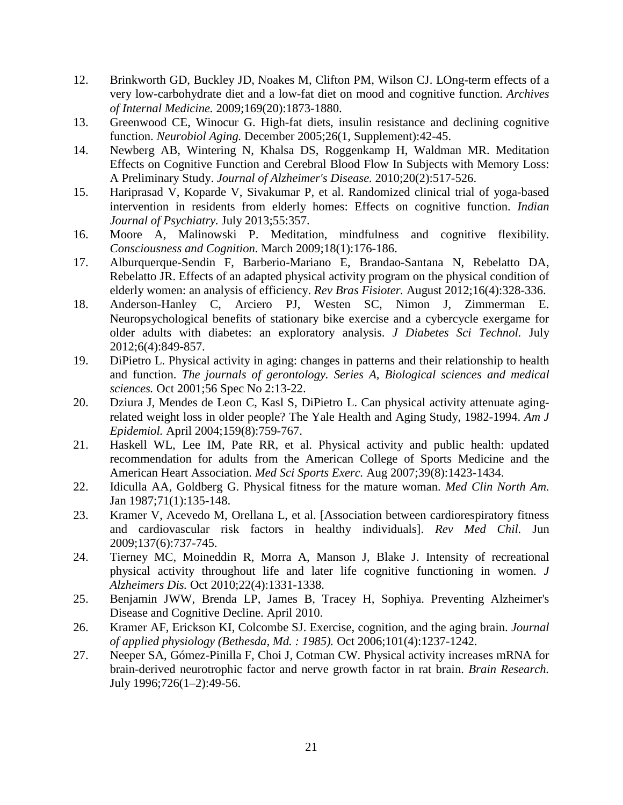- <span id="page-29-0"></span>12. Brinkworth GD, Buckley JD, Noakes M, Clifton PM, Wilson CJ. LOng-term effects of a very low-carbohydrate diet and a low-fat diet on mood and cognitive function. *Archives of Internal Medicine.* 2009;169(20):1873-1880.
- <span id="page-29-1"></span>13. Greenwood CE, Winocur G. High-fat diets, insulin resistance and declining cognitive function. *Neurobiol Aging.* December 2005;26(1, Supplement):42-45.
- <span id="page-29-2"></span>14. Newberg AB, Wintering N, Khalsa DS, Roggenkamp H, Waldman MR. Meditation Effects on Cognitive Function and Cerebral Blood Flow In Subjects with Memory Loss: A Preliminary Study. *Journal of Alzheimer's Disease.* 2010;20(2):517-526.
- 15. Hariprasad V, Koparde V, Sivakumar P, et al. Randomized clinical trial of yoga-based intervention in residents from elderly homes: Effects on cognitive function. *Indian Journal of Psychiatry.* July 2013;55:357.
- 16. Moore A, Malinowski P. Meditation, mindfulness and cognitive flexibility. *Consciousness and Cognition.* March 2009;18(1):176-186.
- <span id="page-29-3"></span>17. Alburquerque-Sendin F, Barberio-Mariano E, Brandao-Santana N, Rebelatto DA, Rebelatto JR. Effects of an adapted physical activity program on the physical condition of elderly women: an analysis of efficiency. *Rev Bras Fisioter.* August 2012;16(4):328-336.
- <span id="page-29-4"></span>18. Anderson-Hanley C, Arciero PJ, Westen SC, Nimon J, Zimmerman E. Neuropsychological benefits of stationary bike exercise and a cybercycle exergame for older adults with diabetes: an exploratory analysis. *J Diabetes Sci Technol.* July 2012;6(4):849-857.
- 19. DiPietro L. Physical activity in aging: changes in patterns and their relationship to health and function. *The journals of gerontology. Series A, Biological sciences and medical sciences.* Oct 2001;56 Spec No 2:13-22.
- 20. Dziura J, Mendes de Leon C, Kasl S, DiPietro L. Can physical activity attenuate agingrelated weight loss in older people? The Yale Health and Aging Study, 1982-1994. *Am J Epidemiol.* April 2004;159(8):759-767.
- 21. Haskell WL, Lee IM, Pate RR, et al. Physical activity and public health: updated recommendation for adults from the American College of Sports Medicine and the American Heart Association. *Med Sci Sports Exerc.* Aug 2007;39(8):1423-1434.
- 22. Idiculla AA, Goldberg G. Physical fitness for the mature woman. *Med Clin North Am.*  Jan 1987;71(1):135-148.
- 23. Kramer V, Acevedo M, Orellana L, et al. [Association between cardiorespiratory fitness and cardiovascular risk factors in healthy individuals]. *Rev Med Chil.* Jun 2009;137(6):737-745.
- 24. Tierney MC, Moineddin R, Morra A, Manson J, Blake J. Intensity of recreational physical activity throughout life and later life cognitive functioning in women. *J Alzheimers Dis.* Oct 2010;22(4):1331-1338.
- <span id="page-29-5"></span>25. Benjamin JWW, Brenda LP, James B, Tracey H, Sophiya. Preventing Alzheimer's Disease and Cognitive Decline. April 2010.
- <span id="page-29-6"></span>26. Kramer AF, Erickson KI, Colcombe SJ. Exercise, cognition, and the aging brain. *Journal of applied physiology (Bethesda, Md. : 1985).* Oct 2006;101(4):1237-1242.
- <span id="page-29-7"></span>27. Neeper SA, Gómez-Pinilla F, Choi J, Cotman CW. Physical activity increases mRNA for brain-derived neurotrophic factor and nerve growth factor in rat brain. *Brain Research.*  July 1996;726(1–2):49-56.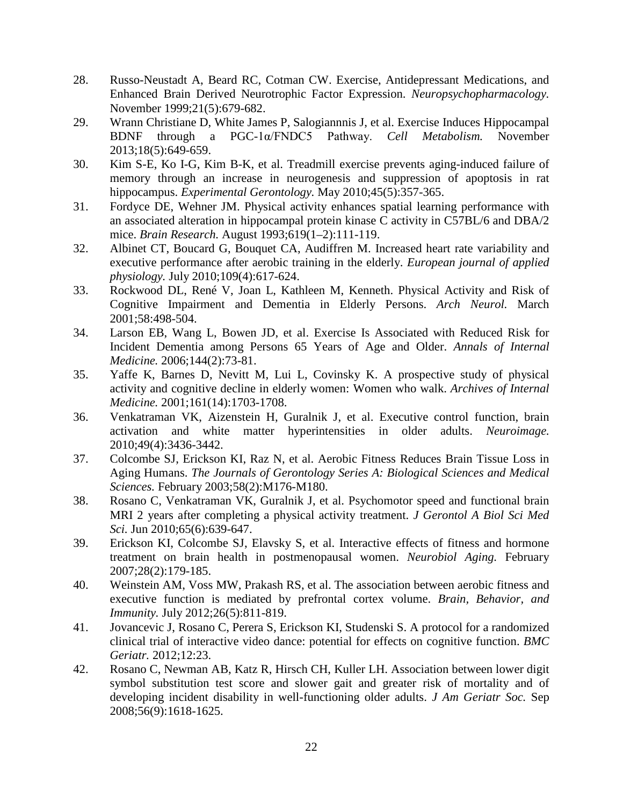- <span id="page-30-0"></span>28. Russo-Neustadt A, Beard RC, Cotman CW. Exercise, Antidepressant Medications, and Enhanced Brain Derived Neurotrophic Factor Expression. *Neuropsychopharmacology.*  November 1999;21(5):679-682.
- 29. Wrann Christiane D, White James P, Salogiannnis J, et al. Exercise Induces Hippocampal BDNF through a PGC-1α/FNDC5 Pathway. *Cell Metabolism.* November 2013;18(5):649-659.
- <span id="page-30-1"></span>30. Kim S-E, Ko I-G, Kim B-K, et al. Treadmill exercise prevents aging-induced failure of memory through an increase in neurogenesis and suppression of apoptosis in rat hippocampus. *Experimental Gerontology.* May 2010;45(5):357-365.
- <span id="page-30-2"></span>31. Fordyce DE, Wehner JM. Physical activity enhances spatial learning performance with an associated alteration in hippocampal protein kinase C activity in C57BL/6 and DBA/2 mice. *Brain Research.* August 1993;619(1–2):111-119.
- <span id="page-30-3"></span>32. Albinet CT, Boucard G, Bouquet CA, Audiffren M. Increased heart rate variability and executive performance after aerobic training in the elderly. *European journal of applied physiology.* July 2010;109(4):617-624.
- <span id="page-30-4"></span>33. Rockwood DL, René V, Joan L, Kathleen M, Kenneth. Physical Activity and Risk of Cognitive Impairment and Dementia in Elderly Persons. *Arch Neurol.* March 2001;58:498-504.
- <span id="page-30-5"></span>34. Larson EB, Wang L, Bowen JD, et al. Exercise Is Associated with Reduced Risk for Incident Dementia among Persons 65 Years of Age and Older. *Annals of Internal Medicine.* 2006;144(2):73-81.
- <span id="page-30-6"></span>35. Yaffe K, Barnes D, Nevitt M, Lui L, Covinsky K. A prospective study of physical activity and cognitive decline in elderly women: Women who walk. *Archives of Internal Medicine.* 2001;161(14):1703-1708.
- <span id="page-30-7"></span>36. Venkatraman VK, Aizenstein H, Guralnik J, et al. Executive control function, brain activation and white matter hyperintensities in older adults. *Neuroimage.*  2010;49(4):3436-3442.
- <span id="page-30-8"></span>37. Colcombe SJ, Erickson KI, Raz N, et al. Aerobic Fitness Reduces Brain Tissue Loss in Aging Humans. *The Journals of Gerontology Series A: Biological Sciences and Medical Sciences.* February 2003;58(2):M176-M180.
- <span id="page-30-9"></span>38. Rosano C, Venkatraman VK, Guralnik J, et al. Psychomotor speed and functional brain MRI 2 years after completing a physical activity treatment. *J Gerontol A Biol Sci Med Sci.* Jun 2010;65(6):639-647.
- <span id="page-30-10"></span>39. Erickson KI, Colcombe SJ, Elavsky S, et al. Interactive effects of fitness and hormone treatment on brain health in postmenopausal women. *Neurobiol Aging.* February 2007;28(2):179-185.
- <span id="page-30-11"></span>40. Weinstein AM, Voss MW, Prakash RS, et al. The association between aerobic fitness and executive function is mediated by prefrontal cortex volume. *Brain, Behavior, and Immunity.* July 2012;26(5):811-819.
- <span id="page-30-12"></span>41. Jovancevic J, Rosano C, Perera S, Erickson KI, Studenski S. A protocol for a randomized clinical trial of interactive video dance: potential for effects on cognitive function. *BMC Geriatr.* 2012;12:23.
- <span id="page-30-13"></span>42. Rosano C, Newman AB, Katz R, Hirsch CH, Kuller LH. Association between lower digit symbol substitution test score and slower gait and greater risk of mortality and of developing incident disability in well-functioning older adults. *J Am Geriatr Soc.* Sep 2008;56(9):1618-1625.